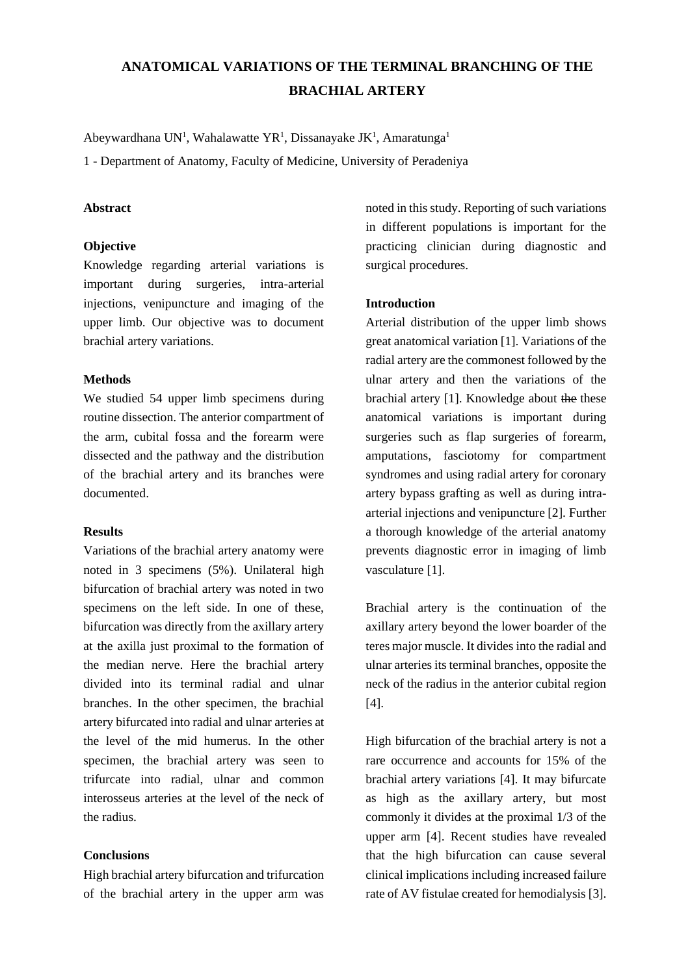# **ANATOMICAL VARIATIONS OF THE TERMINAL BRANCHING OF THE BRACHIAL ARTERY**

Abeywardhana UN<sup>1</sup>, Wahalawatte YR<sup>1</sup>, Dissanayake JK<sup>1</sup>, Amaratunga<sup>1</sup>

1 - Department of Anatomy, Faculty of Medicine, University of Peradeniya

## **Abstract**

#### **Objective**

Knowledge regarding arterial variations is important during surgeries, intra-arterial injections, venipuncture and imaging of the upper limb. Our objective was to document brachial artery variations.

## **Methods**

We studied 54 upper limb specimens during routine dissection. The anterior compartment of the arm, cubital fossa and the forearm were dissected and the pathway and the distribution of the brachial artery and its branches were documented.

## **Results**

Variations of the brachial artery anatomy were noted in 3 specimens (5%). Unilateral high bifurcation of brachial artery was noted in two specimens on the left side. In one of these, bifurcation was directly from the axillary artery at the axilla just proximal to the formation of the median nerve. Here the brachial artery divided into its terminal radial and ulnar branches. In the other specimen, the brachial artery bifurcated into radial and ulnar arteries at the level of the mid humerus. In the other specimen, the brachial artery was seen to trifurcate into radial, ulnar and common interosseus arteries at the level of the neck of the radius.

## **Conclusions**

High brachial artery bifurcation and trifurcation of the brachial artery in the upper arm was

noted in this study. Reporting of such variations in different populations is important for the practicing clinician during diagnostic and surgical procedures.

## **Introduction**

Arterial distribution of the upper limb shows great anatomical variation [1]. Variations of the radial artery are the commonest followed by the ulnar artery and then the variations of the brachial artery [1]. Knowledge about the these anatomical variations is important during surgeries such as flap surgeries of forearm, amputations, fasciotomy for compartment syndromes and using radial artery for coronary artery bypass grafting as well as during intraarterial injections and venipuncture [2]. Further a thorough knowledge of the arterial anatomy prevents diagnostic error in imaging of limb vasculature [1].

Brachial artery is the continuation of the axillary artery beyond the lower boarder of the teres major muscle. It divides into the radial and ulnar arteries its terminal branches, opposite the neck of the radius in the anterior cubital region [4].

High bifurcation of the brachial artery is not a rare occurrence and accounts for 15% of the brachial artery variations [4]. It may bifurcate as high as the axillary artery, but most commonly it divides at the proximal 1/3 of the upper arm [4]. Recent studies have revealed that the high bifurcation can cause several clinical implications including increased failure rate of AV fistulae created for hemodialysis [3].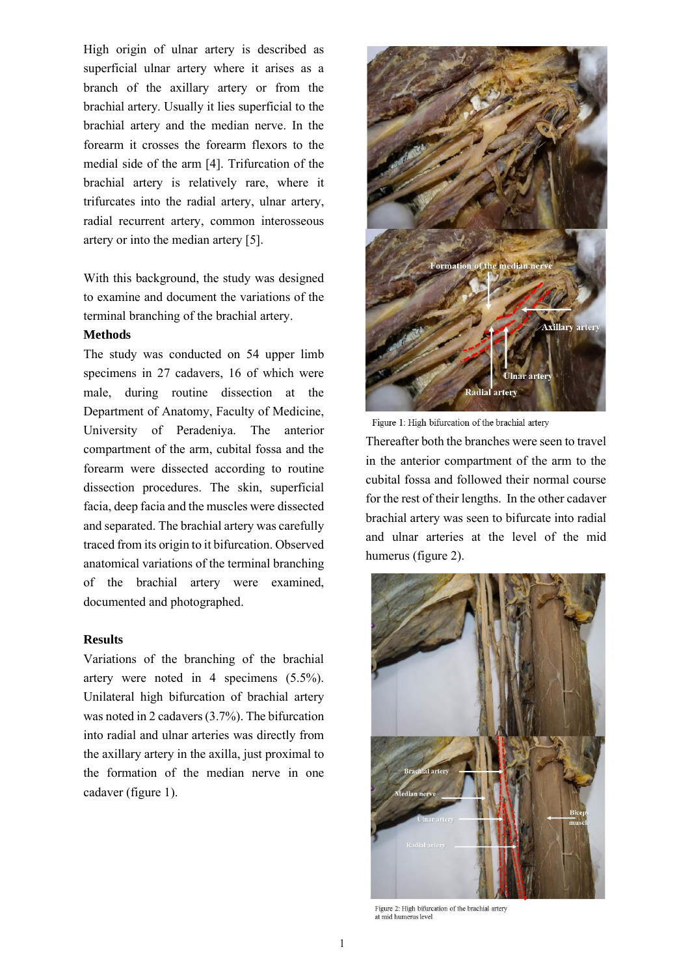High origin of ulnar artery is described as superficial ulnar artery where it arises as a branch of the axillary artery or from the brachial artery. Usually it lies superficial to the brachial artery and the median nerve. In the forearm it crosses the forearm flexors to the medial side of the arm [4]. Trifurcation of the brachial artery is relatively rare, where it trifurcates into the radial artery, ulnar artery, radial recurrent artery, common interosseous artery or into the median artery [5].

With this background, the study was designed to examine and document the variations of the terminal branching of the brachial artery.

#### **Methods**

The study was conducted on 54 upper limb specimens in 27 cadavers, 16 of which were male, during routine dissection at the Department of Anatomy, Faculty of Medicine, University of Peradeniya. The anterior compartment of the arm, cubital fossa and the forearm were dissected according to routine dissection procedures. The skin, superficial facia, deep facia and the muscles were dissected and separated. The brachial artery was carefully traced from its origin to it bifurcation. Observed anatomical variations of the terminal branching of the brachial artery were examined, documented and photographed.

## **Results**

Variations of the branching of the brachial artery were noted in 4 specimens (5.5%). Unilateral high bifurcation of brachial artery was noted in 2 cadavers (3.7%). The bifurcation into radial and ulnar arteries was directly from the axillary artery in the axilla, just proximal to the formation of the median nerve in one cadaver (figure 1).



Figure 1: High bifurcation of the brachial artery

Thereafter both the branches were seen to travel in the anterior compartment of the arm to the cubital fossa and followed their normal course for the rest of their lengths. In the other cadaver brachial artery was seen to bifurcate into radial and ulnar arteries at the level of the mid humerus (figure 2).



Figure 2: High bifurcation of the brachial artery at mid humerus level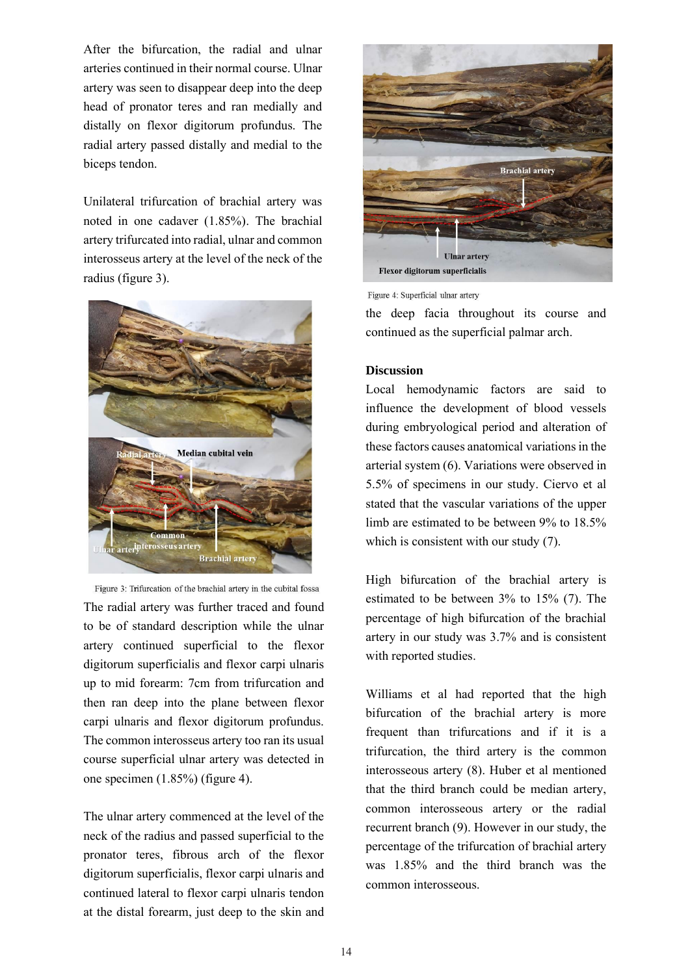After the bifurcation, the radial and ulnar arteries continued in their normal course. Ulnar artery was seen to disappear deep into the deep head of pronator teres and ran medially and distally on flexor digitorum profundus. The radial artery passed distally and medial to the biceps tendon.

Unilateral trifurcation of brachial artery was noted in one cadaver (1.85%). The brachial artery trifurcated into radial, ulnar and common interosseus artery at the level of the neck of the radius (figure 3).



Figure 3: Trifurcation of the brachial artery in the cubital fossa The radial artery was further traced and found to be of standard description while the ulnar artery continued superficial to the flexor digitorum superficialis and flexor carpi ulnaris up to mid forearm: 7cm from trifurcation and then ran deep into the plane between flexor carpi ulnaris and flexor digitorum profundus. The common interosseus artery too ran its usual course superficial ulnar artery was detected in one specimen (1.85%) (figure 4).

The ulnar artery commenced at the level of the neck of the radius and passed superficial to the pronator teres, fibrous arch of the flexor digitorum superficialis, flexor carpi ulnaris and continued lateral to flexor carpi ulnaris tendon at the distal forearm, just deep to the skin and



Figure 4: Superficial ulnar artery

the deep facia throughout its course and continued as the superficial palmar arch.

## **Discussion**

Local hemodynamic factors are said to influence the development of blood vessels during embryological period and alteration of these factors causes anatomical variations in the arterial system (6). Variations were observed in 5.5% of specimens in our study. Ciervo et al stated that the vascular variations of the upper limb are estimated to be between 9% to 18.5% which is consistent with our study (7).

High bifurcation of the brachial artery is estimated to be between 3% to 15% (7). The percentage of high bifurcation of the brachial artery in our study was 3.7% and is consistent with reported studies.

Williams et al had reported that the high bifurcation of the brachial artery is more frequent than trifurcations and if it is a trifurcation, the third artery is the common interosseous artery (8). Huber et al mentioned that the third branch could be median artery, common interosseous artery or the radial recurrent branch (9). However in our study, the percentage of the trifurcation of brachial artery was 1.85% and the third branch was the common interosseous.